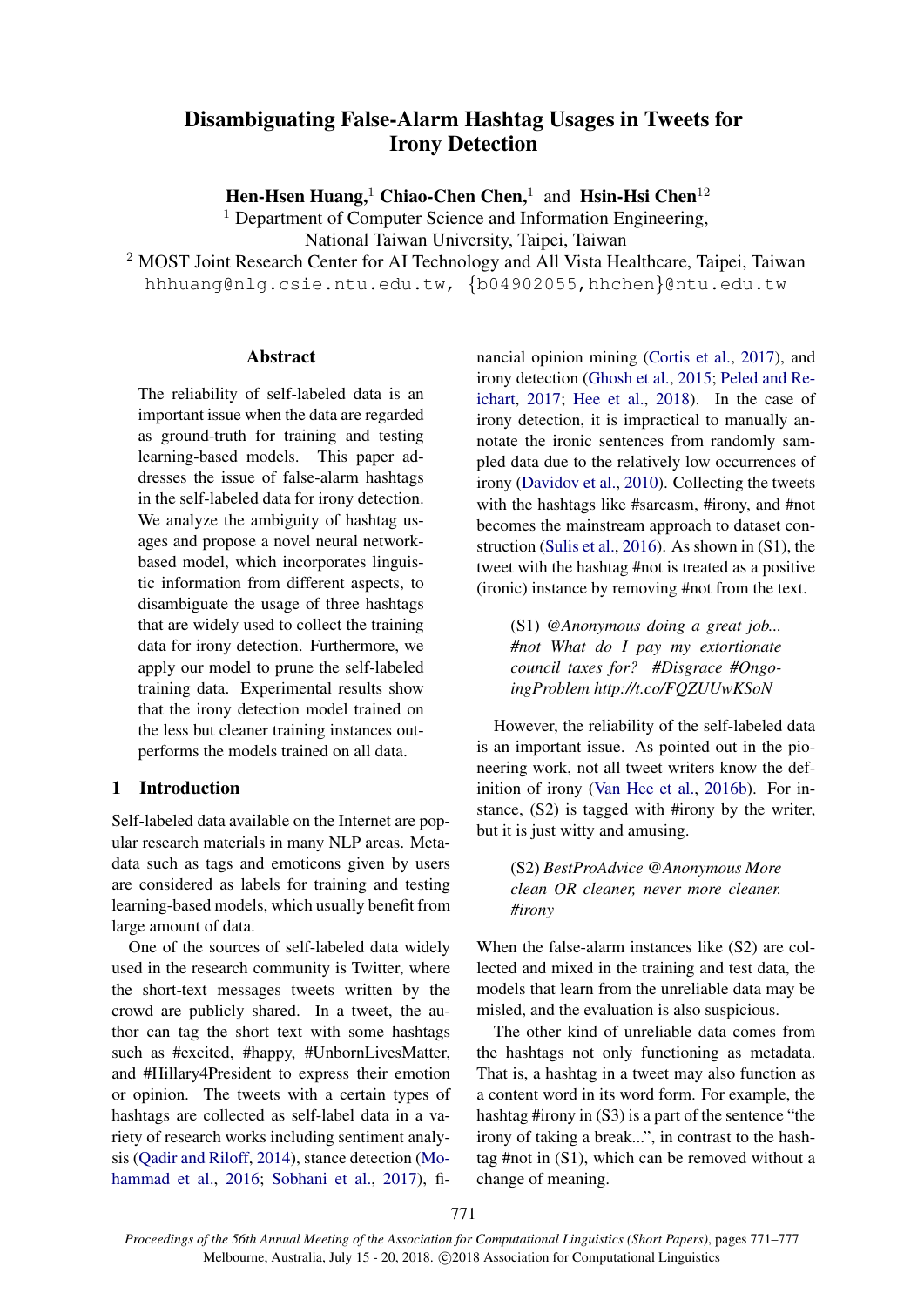# Disambiguating False-Alarm Hashtag Usages in Tweets for Irony Detection

Hen-Hsen Huang,<sup>1</sup> Chiao-Chen Chen,<sup>1</sup> and Hsin-Hsi Chen<sup>12</sup>

<sup>1</sup> Department of Computer Science and Information Engineering, National Taiwan University, Taipei, Taiwan

<sup>2</sup> MOST Joint Research Center for AI Technology and All Vista Healthcare, Taipei, Taiwan hhhuang@nlg.csie.ntu.edu.tw, {b04902055,hhchen}@ntu.edu.tw

### **Abstract**

The reliability of self-labeled data is an important issue when the data are regarded as ground-truth for training and testing learning-based models. This paper addresses the issue of false-alarm hashtags in the self-labeled data for irony detection. We analyze the ambiguity of hashtag usages and propose a novel neural networkbased model, which incorporates linguistic information from different aspects, to disambiguate the usage of three hashtags that are widely used to collect the training data for irony detection. Furthermore, we apply our model to prune the self-labeled training data. Experimental results show that the irony detection model trained on the less but cleaner training instances outperforms the models trained on all data.

# <span id="page-0-0"></span>1 Introduction

Self-labeled data available on the Internet are popular research materials in many NLP areas. Metadata such as tags and emoticons given by users are considered as labels for training and testing learning-based models, which usually benefit from large amount of data.

One of the sources of self-labeled data widely used in the research community is Twitter, where the short-text messages tweets written by the crowd are publicly shared. In a tweet, the author can tag the short text with some hashtags such as #excited, #happy, #UnbornLivesMatter, and #Hillary4President to express their emotion or opinion. The tweets with a certain types of hashtags are collected as self-label data in a variety of research works including sentiment analysis [\(Qadir and Riloff,](#page-5-0) [2014\)](#page-5-0), stance detection [\(Mo](#page-5-1)[hammad et al.,](#page-5-1) [2016;](#page-5-1) [Sobhani et al.,](#page-5-2) [2017\)](#page-5-2), financial opinion mining [\(Cortis et al.,](#page-5-3) [2017\)](#page-5-3), and irony detection [\(Ghosh et al.,](#page-5-4) [2015;](#page-5-4) [Peled and Re](#page-5-5)[ichart,](#page-5-5) [2017;](#page-5-5) [Hee et al.,](#page-5-6) [2018\)](#page-5-6). In the case of irony detection, it is impractical to manually annotate the ironic sentences from randomly sampled data due to the relatively low occurrences of irony [\(Davidov et al.,](#page-5-7) [2010\)](#page-5-7). Collecting the tweets with the hashtags like #sarcasm, #irony, and #not becomes the mainstream approach to dataset construction [\(Sulis et al.,](#page-6-0) [2016\)](#page-6-0). As shown in (S1), the tweet with the hashtag #not is treated as a positive (ironic) instance by removing #not from the text.

(S1) *@Anonymous doing a great job... #not What do I pay my extortionate council taxes for? #Disgrace #OngoingProblem http://t.co/FQZUUwKSoN*

However, the reliability of the self-labeled data is an important issue. As pointed out in the pioneering work, not all tweet writers know the definition of irony [\(Van Hee et al.,](#page-6-1) [2016b\)](#page-6-1). For instance, (S2) is tagged with #irony by the writer, but it is just witty and amusing.

(S2) *BestProAdvice @Anonymous More clean OR cleaner, never more cleaner. #irony*

When the false-alarm instances like (S2) are collected and mixed in the training and test data, the models that learn from the unreliable data may be misled, and the evaluation is also suspicious.

The other kind of unreliable data comes from the hashtags not only functioning as metadata. That is, a hashtag in a tweet may also function as a content word in its word form. For example, the hashtag #irony in (S3) is a part of the sentence "the irony of taking a break...", in contrast to the hashtag #not in (S1), which can be removed without a change of meaning.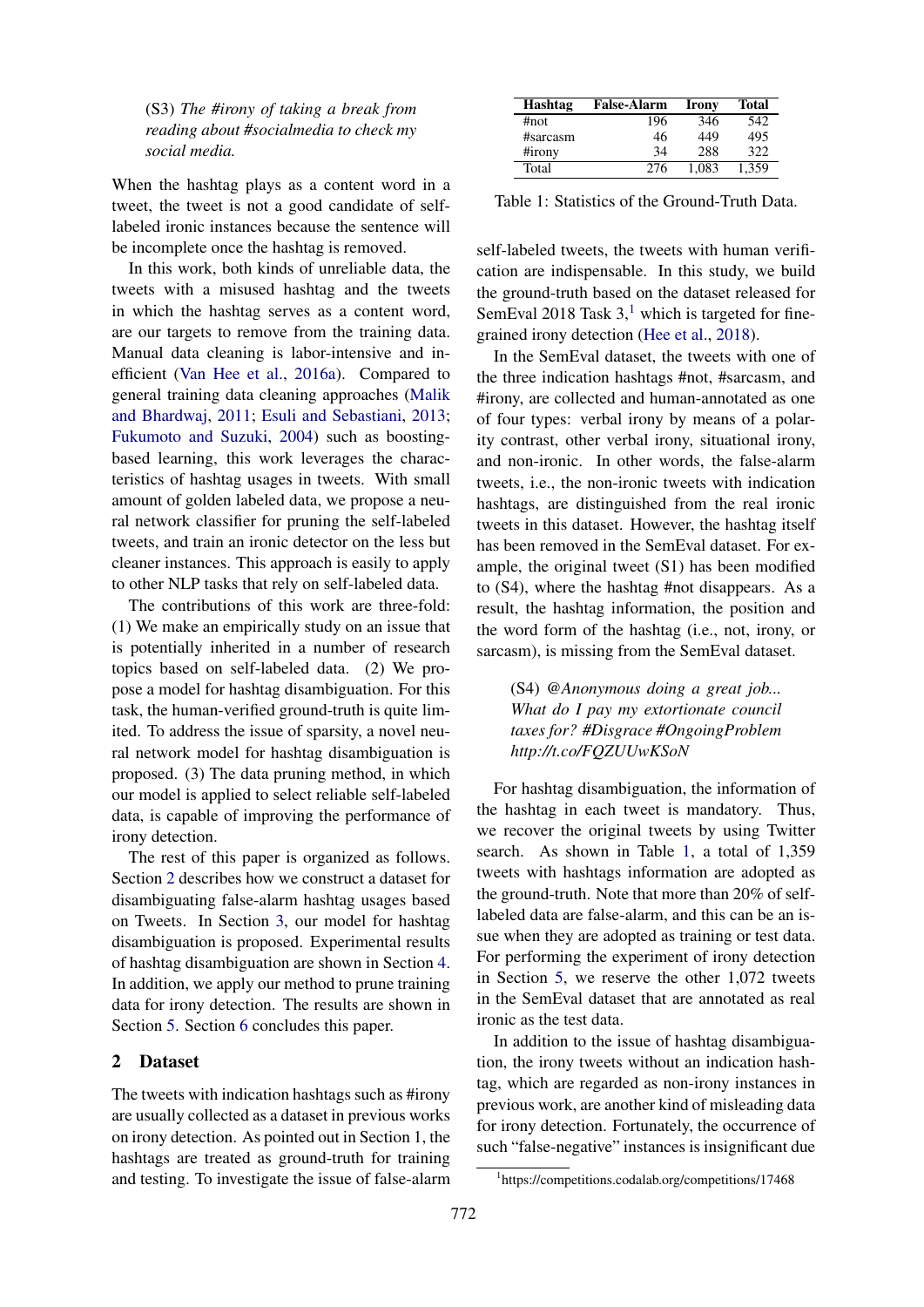(S3) *The #irony of taking a break from reading about #socialmedia to check my social media.*

When the hashtag plays as a content word in a tweet, the tweet is not a good candidate of selflabeled ironic instances because the sentence will be incomplete once the hashtag is removed.

In this work, both kinds of unreliable data, the tweets with a misused hashtag and the tweets in which the hashtag serves as a content word, are our targets to remove from the training data. Manual data cleaning is labor-intensive and inefficient [\(Van Hee et al.,](#page-6-2) [2016a\)](#page-6-2). Compared to general training data cleaning approaches [\(Malik](#page-5-8) [and Bhardwaj,](#page-5-8) [2011;](#page-5-8) [Esuli and Sebastiani,](#page-5-9) [2013;](#page-5-9) [Fukumoto and Suzuki,](#page-5-10) [2004\)](#page-5-10) such as boostingbased learning, this work leverages the characteristics of hashtag usages in tweets. With small amount of golden labeled data, we propose a neural network classifier for pruning the self-labeled tweets, and train an ironic detector on the less but cleaner instances. This approach is easily to apply to other NLP tasks that rely on self-labeled data.

The contributions of this work are three-fold: (1) We make an empirically study on an issue that is potentially inherited in a number of research topics based on self-labeled data. (2) We propose a model for hashtag disambiguation. For this task, the human-verified ground-truth is quite limited. To address the issue of sparsity, a novel neural network model for hashtag disambiguation is proposed. (3) The data pruning method, in which our model is applied to select reliable self-labeled data, is capable of improving the performance of irony detection.

The rest of this paper is organized as follows. Section [2](#page-1-0) describes how we construct a dataset for disambiguating false-alarm hashtag usages based on Tweets. In Section [3,](#page-2-0) our model for hashtag disambiguation is proposed. Experimental results of hashtag disambiguation are shown in Section [4.](#page-3-0) In addition, we apply our method to prune training data for irony detection. The results are shown in Section [5.](#page-3-1) Section [6](#page-4-0) concludes this paper.

# <span id="page-1-0"></span>2 Dataset

The tweets with indication hashtags such as #irony are usually collected as a dataset in previous works on irony detection. As pointed out in Section 1, the hashtags are treated as ground-truth for training and testing. To investigate the issue of false-alarm

| Hashtag  | <b>False-Alarm</b> | Irony | <b>Total</b> |
|----------|--------------------|-------|--------------|
| #not     | 196                | 346   | 542          |
| #sarcasm | 46                 | 449   | 495          |
| #irony   | 34                 | 288   | 322          |
| Total    | 276                | 1.083 | 1.359        |

<span id="page-1-2"></span>Table 1: Statistics of the Ground-Truth Data.

self-labeled tweets, the tweets with human verification are indispensable. In this study, we build the ground-truth based on the dataset released for SemEval 20[1](#page-1-1)8 Task  $3<sup>1</sup>$ , which is targeted for finegrained irony detection [\(Hee et al.,](#page-5-6) [2018\)](#page-5-6).

In the SemEval dataset, the tweets with one of the three indication hashtags #not, #sarcasm, and #irony, are collected and human-annotated as one of four types: verbal irony by means of a polarity contrast, other verbal irony, situational irony, and non-ironic. In other words, the false-alarm tweets, i.e., the non-ironic tweets with indication hashtags, are distinguished from the real ironic tweets in this dataset. However, the hashtag itself has been removed in the SemEval dataset. For example, the original tweet (S1) has been modified to (S4), where the hashtag #not disappears. As a result, the hashtag information, the position and the word form of the hashtag (i.e., not, irony, or sarcasm), is missing from the SemEval dataset.

(S4) *@Anonymous doing a great job... What do I pay my extortionate council taxes for? #Disgrace #OngoingProblem http://t.co/FQZUUwKSoN*

For hashtag disambiguation, the information of the hashtag in each tweet is mandatory. Thus, we recover the original tweets by using Twitter search. As shown in Table [1,](#page-1-2) a total of 1,359 tweets with hashtags information are adopted as the ground-truth. Note that more than 20% of selflabeled data are false-alarm, and this can be an issue when they are adopted as training or test data. For performing the experiment of irony detection in Section [5,](#page-3-1) we reserve the other 1,072 tweets in the SemEval dataset that are annotated as real ironic as the test data.

In addition to the issue of hashtag disambiguation, the irony tweets without an indication hashtag, which are regarded as non-irony instances in previous work, are another kind of misleading data for irony detection. Fortunately, the occurrence of such "false-negative" instances is insignificant due

<span id="page-1-1"></span><sup>1</sup> https://competitions.codalab.org/competitions/17468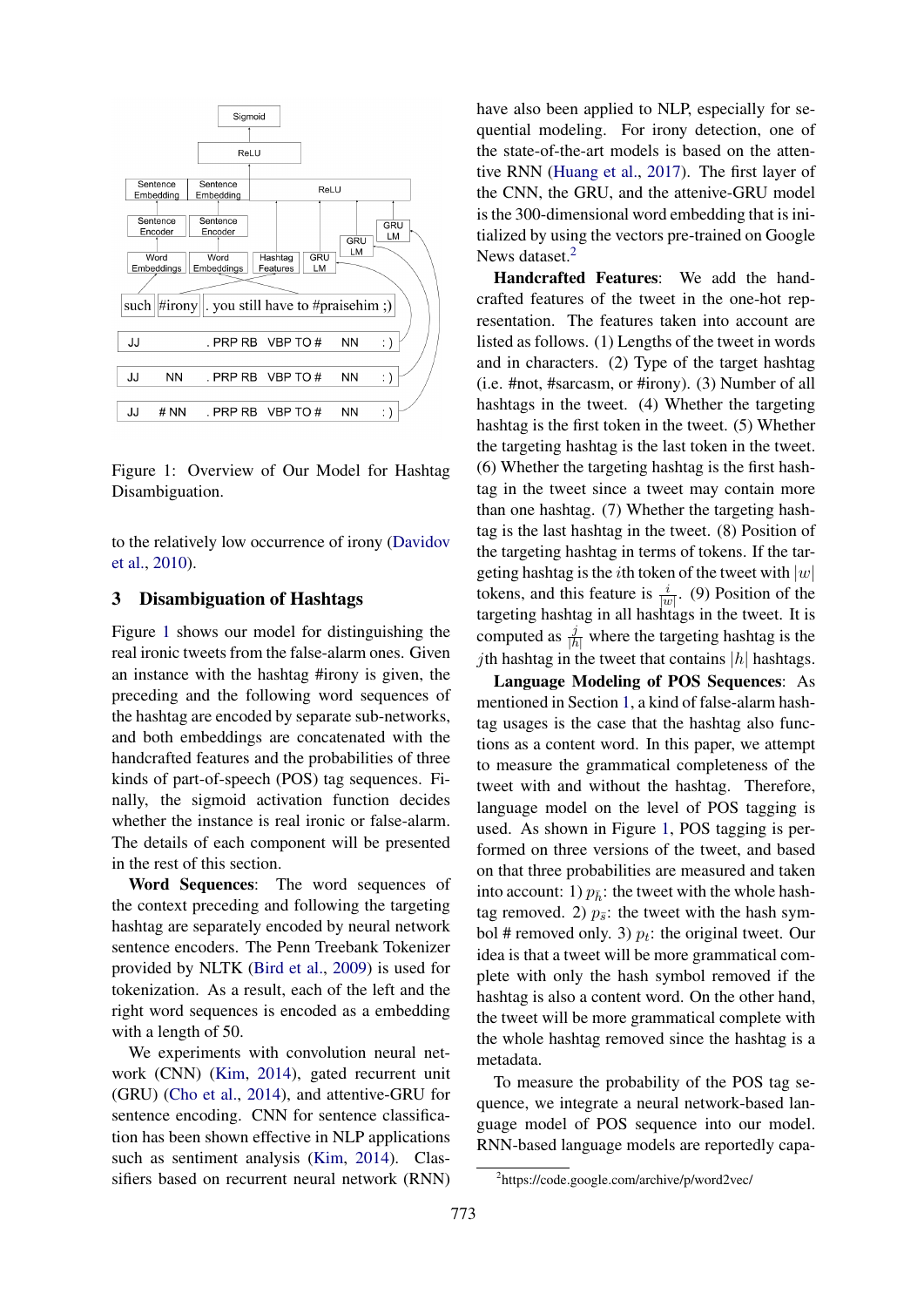

<span id="page-2-1"></span>Figure 1: Overview of Our Model for Hashtag Disambiguation.

to the relatively low occurrence of irony [\(Davidov](#page-5-7) [et al.,](#page-5-7) [2010\)](#page-5-7).

#### <span id="page-2-0"></span>3 Disambiguation of Hashtags

Figure [1](#page-2-1) shows our model for distinguishing the real ironic tweets from the false-alarm ones. Given an instance with the hashtag #irony is given, the preceding and the following word sequences of the hashtag are encoded by separate sub-networks, and both embeddings are concatenated with the handcrafted features and the probabilities of three kinds of part-of-speech (POS) tag sequences. Finally, the sigmoid activation function decides whether the instance is real ironic or false-alarm. The details of each component will be presented in the rest of this section.

Word Sequences: The word sequences of the context preceding and following the targeting hashtag are separately encoded by neural network sentence encoders. The Penn Treebank Tokenizer provided by NLTK [\(Bird et al.,](#page-5-11) [2009\)](#page-5-11) is used for tokenization. As a result, each of the left and the right word sequences is encoded as a embedding with a length of 50.

We experiments with convolution neural network (CNN) [\(Kim,](#page-5-12) [2014\)](#page-5-12), gated recurrent unit (GRU) [\(Cho et al.,](#page-5-13) [2014\)](#page-5-13), and attentive-GRU for sentence encoding. CNN for sentence classification has been shown effective in NLP applications such as sentiment analysis [\(Kim,](#page-5-12) [2014\)](#page-5-12). Classifiers based on recurrent neural network (RNN)

have also been applied to NLP, especially for sequential modeling. For irony detection, one of the state-of-the-art models is based on the attentive RNN [\(Huang et al.,](#page-5-14) [2017\)](#page-5-14). The first layer of the CNN, the GRU, and the attenive-GRU model is the 300-dimensional word embedding that is initialized by using the vectors pre-trained on Google News dataset.<sup>[2](#page-2-2)</sup>

Handcrafted Features: We add the handcrafted features of the tweet in the one-hot representation. The features taken into account are listed as follows. (1) Lengths of the tweet in words and in characters. (2) Type of the target hashtag (i.e. #not, #sarcasm, or #irony). (3) Number of all hashtags in the tweet. (4) Whether the targeting hashtag is the first token in the tweet. (5) Whether the targeting hashtag is the last token in the tweet. (6) Whether the targeting hashtag is the first hashtag in the tweet since a tweet may contain more than one hashtag. (7) Whether the targeting hashtag is the last hashtag in the tweet. (8) Position of the targeting hashtag in terms of tokens. If the targeting hashtag is the *i*th token of the tweet with  $|w|$ tokens, and this feature is  $\frac{i}{|w|}$ . (9) Position of the targeting hashtag in all hashtags in the tweet. It is computed as  $\frac{j}{|h|}$  where the targeting hashtag is the *j*th hashtag in the tweet that contains  $|h|$  hashtags.

Language Modeling of POS Sequences: As mentioned in Section [1,](#page-0-0) a kind of false-alarm hashtag usages is the case that the hashtag also functions as a content word. In this paper, we attempt to measure the grammatical completeness of the tweet with and without the hashtag. Therefore, language model on the level of POS tagging is used. As shown in Figure [1,](#page-2-1) POS tagging is performed on three versions of the tweet, and based on that three probabilities are measured and taken into account: 1)  $p_{\overline{h}}$ : the tweet with the whole hashtag removed. 2)  $p_{\overline{s}}$ : the tweet with the hash symbol # removed only. 3)  $p_t$ : the original tweet. Our idea is that a tweet will be more grammatical complete with only the hash symbol removed if the hashtag is also a content word. On the other hand, the tweet will be more grammatical complete with the whole hashtag removed since the hashtag is a metadata.

To measure the probability of the POS tag sequence, we integrate a neural network-based language model of POS sequence into our model. RNN-based language models are reportedly capa-

<span id="page-2-2"></span><sup>2</sup> https://code.google.com/archive/p/word2vec/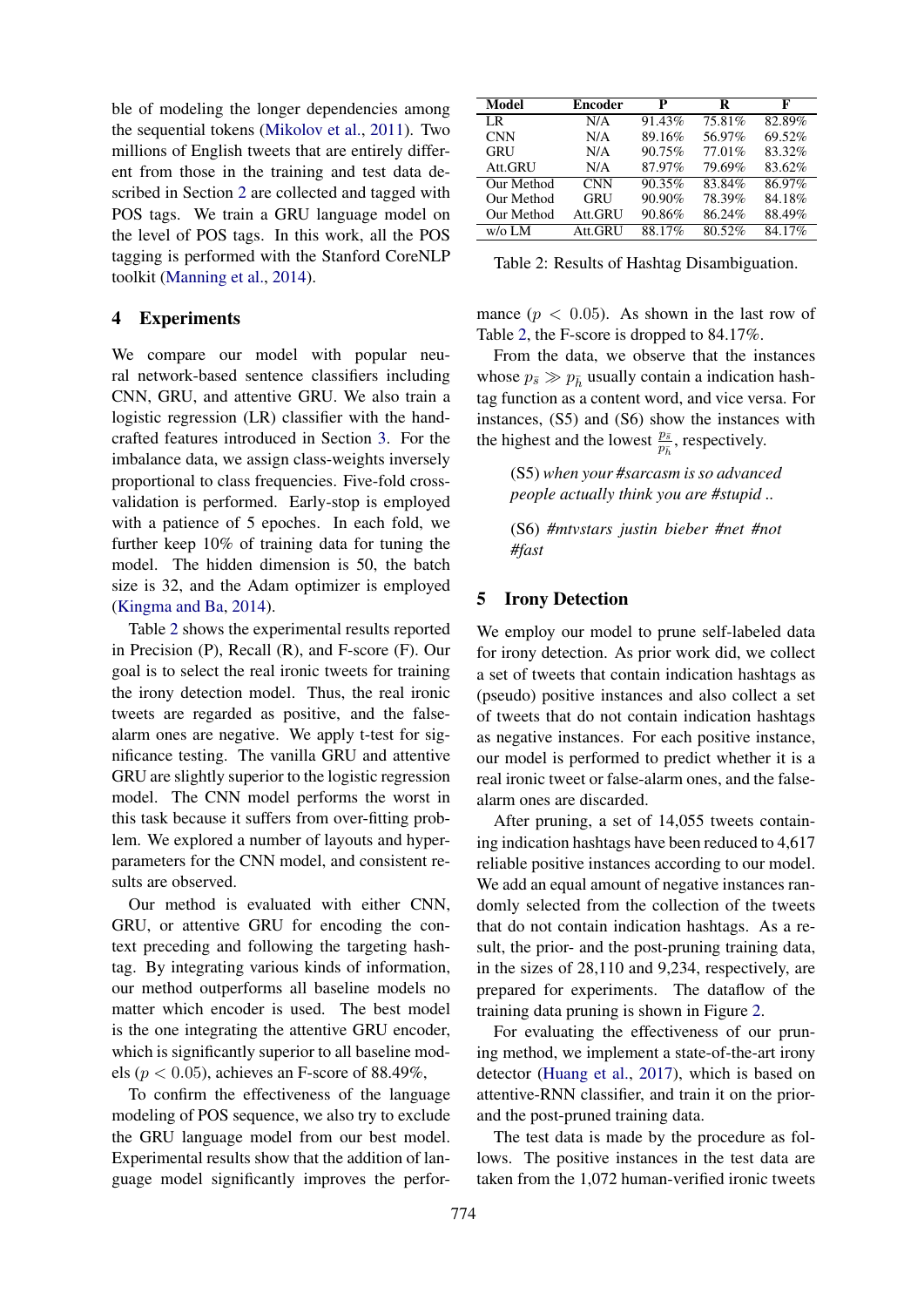ble of modeling the longer dependencies among the sequential tokens [\(Mikolov et al.,](#page-5-15) [2011\)](#page-5-15). Two millions of English tweets that are entirely different from those in the training and test data described in Section [2](#page-1-0) are collected and tagged with POS tags. We train a GRU language model on the level of POS tags. In this work, all the POS tagging is performed with the Stanford CoreNLP toolkit [\(Manning et al.,](#page-5-16) [2014\)](#page-5-16).

### <span id="page-3-0"></span>4 Experiments

We compare our model with popular neural network-based sentence classifiers including CNN, GRU, and attentive GRU. We also train a logistic regression (LR) classifier with the handcrafted features introduced in Section [3.](#page-2-0) For the imbalance data, we assign class-weights inversely proportional to class frequencies. Five-fold crossvalidation is performed. Early-stop is employed with a patience of 5 epoches. In each fold, we further keep 10% of training data for tuning the model. The hidden dimension is 50, the batch size is 32, and the Adam optimizer is employed [\(Kingma and Ba,](#page-5-17) [2014\)](#page-5-17).

Table [2](#page-3-2) shows the experimental results reported in Precision (P), Recall (R), and F-score (F). Our goal is to select the real ironic tweets for training the irony detection model. Thus, the real ironic tweets are regarded as positive, and the falsealarm ones are negative. We apply t-test for significance testing. The vanilla GRU and attentive GRU are slightly superior to the logistic regression model. The CNN model performs the worst in this task because it suffers from over-fitting problem. We explored a number of layouts and hyperparameters for the CNN model, and consistent results are observed.

Our method is evaluated with either CNN, GRU, or attentive GRU for encoding the context preceding and following the targeting hashtag. By integrating various kinds of information, our method outperforms all baseline models no matter which encoder is used. The best model is the one integrating the attentive GRU encoder, which is significantly superior to all baseline models ( $p < 0.05$ ), achieves an F-score of 88.49%,

To confirm the effectiveness of the language modeling of POS sequence, we also try to exclude the GRU language model from our best model. Experimental results show that the addition of language model significantly improves the perfor-

| Model      | <b>Encoder</b> | P      | R      | F      |
|------------|----------------|--------|--------|--------|
| LR         | N/A            | 91.43% | 75.81% | 82.89% |
| <b>CNN</b> | N/A            | 89.16% | 56.97% | 69.52% |
| GRU        | N/A            | 90.75% | 77.01% | 83.32% |
| Att.GRU    | N/A            | 87.97% | 79.69% | 83.62% |
| Our Method | <b>CNN</b>     | 90.35% | 83.84% | 86.97% |
| Our Method | <b>GRU</b>     | 90.90% | 78.39% | 84.18% |
| Our Method | Att.GRU        | 90.86% | 86.24% | 88.49% |
| $w$ /o LM  | Att.GRU        | 88.17% | 80.52% | 84.17% |
|            |                |        |        |        |

<span id="page-3-2"></span>Table 2: Results of Hashtag Disambiguation.

mance  $(p < 0.05)$ . As shown in the last row of Table [2,](#page-3-2) the F-score is dropped to 84.17%.

From the data, we observe that the instances whose  $p_{\bar{s}} \gg p_{\bar{b}}$  usually contain a indication hashtag function as a content word, and vice versa. For instances, (S5) and (S6) show the instances with the highest and the lowest  $\frac{p_{\bar{s}}}{p_{\bar{h}}}$ , respectively.

(S5) *when your #sarcasm is so advanced people actually think you are #stupid ..*

(S6) *#mtvstars justin bieber #net #not #fast*

## <span id="page-3-1"></span>5 Irony Detection

We employ our model to prune self-labeled data for irony detection. As prior work did, we collect a set of tweets that contain indication hashtags as (pseudo) positive instances and also collect a set of tweets that do not contain indication hashtags as negative instances. For each positive instance, our model is performed to predict whether it is a real ironic tweet or false-alarm ones, and the falsealarm ones are discarded.

After pruning, a set of 14,055 tweets containing indication hashtags have been reduced to 4,617 reliable positive instances according to our model. We add an equal amount of negative instances randomly selected from the collection of the tweets that do not contain indication hashtags. As a result, the prior- and the post-pruning training data, in the sizes of 28,110 and 9,234, respectively, are prepared for experiments. The dataflow of the training data pruning is shown in Figure [2.](#page-4-1)

For evaluating the effectiveness of our pruning method, we implement a state-of-the-art irony detector [\(Huang et al.,](#page-5-14) [2017\)](#page-5-14), which is based on attentive-RNN classifier, and train it on the priorand the post-pruned training data.

The test data is made by the procedure as follows. The positive instances in the test data are taken from the 1,072 human-verified ironic tweets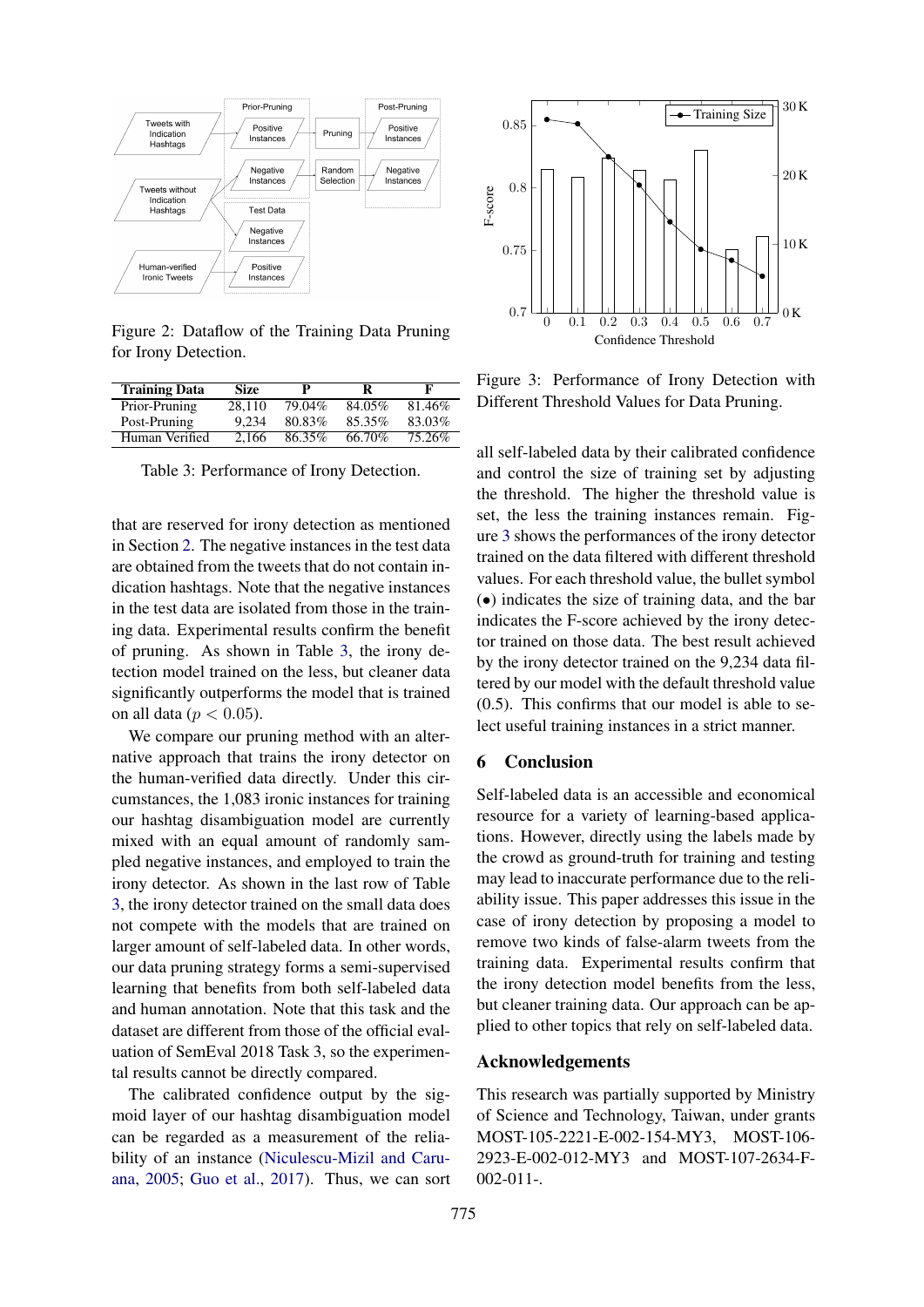

<span id="page-4-1"></span>Figure 2: Dataflow of the Training Data Pruning for Irony Detection.

| <b>Training Data</b> | Size   | p      | R      | F      |
|----------------------|--------|--------|--------|--------|
| Prior-Pruning        | 28.110 | 79.04% | 84.05% | 81.46% |
| Post-Pruning         | 9.234  | 80.83% | 85.35% | 83.03% |
| Human Verified       | 2.166  | 86.35% | 66.70% | 75.26% |

<span id="page-4-2"></span>Table 3: Performance of Irony Detection.

that are reserved for irony detection as mentioned in Section [2.](#page-1-0) The negative instances in the test data are obtained from the tweets that do not contain indication hashtags. Note that the negative instances in the test data are isolated from those in the training data. Experimental results confirm the benefit of pruning. As shown in Table [3,](#page-4-2) the irony detection model trained on the less, but cleaner data significantly outperforms the model that is trained on all data ( $p < 0.05$ ).

We compare our pruning method with an alternative approach that trains the irony detector on the human-verified data directly. Under this circumstances, the 1,083 ironic instances for training our hashtag disambiguation model are currently mixed with an equal amount of randomly sampled negative instances, and employed to train the irony detector. As shown in the last row of Table [3,](#page-4-2) the irony detector trained on the small data does not compete with the models that are trained on larger amount of self-labeled data. In other words, our data pruning strategy forms a semi-supervised learning that benefits from both self-labeled data and human annotation. Note that this task and the dataset are different from those of the official evaluation of SemEval 2018 Task 3, so the experimental results cannot be directly compared.

The calibrated confidence output by the sigmoid layer of our hashtag disambiguation model can be regarded as a measurement of the reliability of an instance [\(Niculescu-Mizil and Caru](#page-5-18)[ana,](#page-5-18) [2005;](#page-5-18) [Guo et al.,](#page-5-19) [2017\)](#page-5-19). Thus, we can sort



<span id="page-4-3"></span>Figure 3: Performance of Irony Detection with Different Threshold Values for Data Pruning.

all self-labeled data by their calibrated confidence and control the size of training set by adjusting the threshold. The higher the threshold value is set, the less the training instances remain. Figure [3](#page-4-3) shows the performances of the irony detector trained on the data filtered with different threshold values. For each threshold value, the bullet symbol (•) indicates the size of training data, and the bar indicates the F-score achieved by the irony detector trained on those data. The best result achieved by the irony detector trained on the 9,234 data filtered by our model with the default threshold value (0.5). This confirms that our model is able to select useful training instances in a strict manner.

#### <span id="page-4-0"></span>6 Conclusion

Self-labeled data is an accessible and economical resource for a variety of learning-based applications. However, directly using the labels made by the crowd as ground-truth for training and testing may lead to inaccurate performance due to the reliability issue. This paper addresses this issue in the case of irony detection by proposing a model to remove two kinds of false-alarm tweets from the training data. Experimental results confirm that the irony detection model benefits from the less, but cleaner training data. Our approach can be applied to other topics that rely on self-labeled data.

#### Acknowledgements

This research was partially supported by Ministry of Science and Technology, Taiwan, under grants MOST-105-2221-E-002-154-MY3, MOST-106- 2923-E-002-012-MY3 and MOST-107-2634-F-002-011-.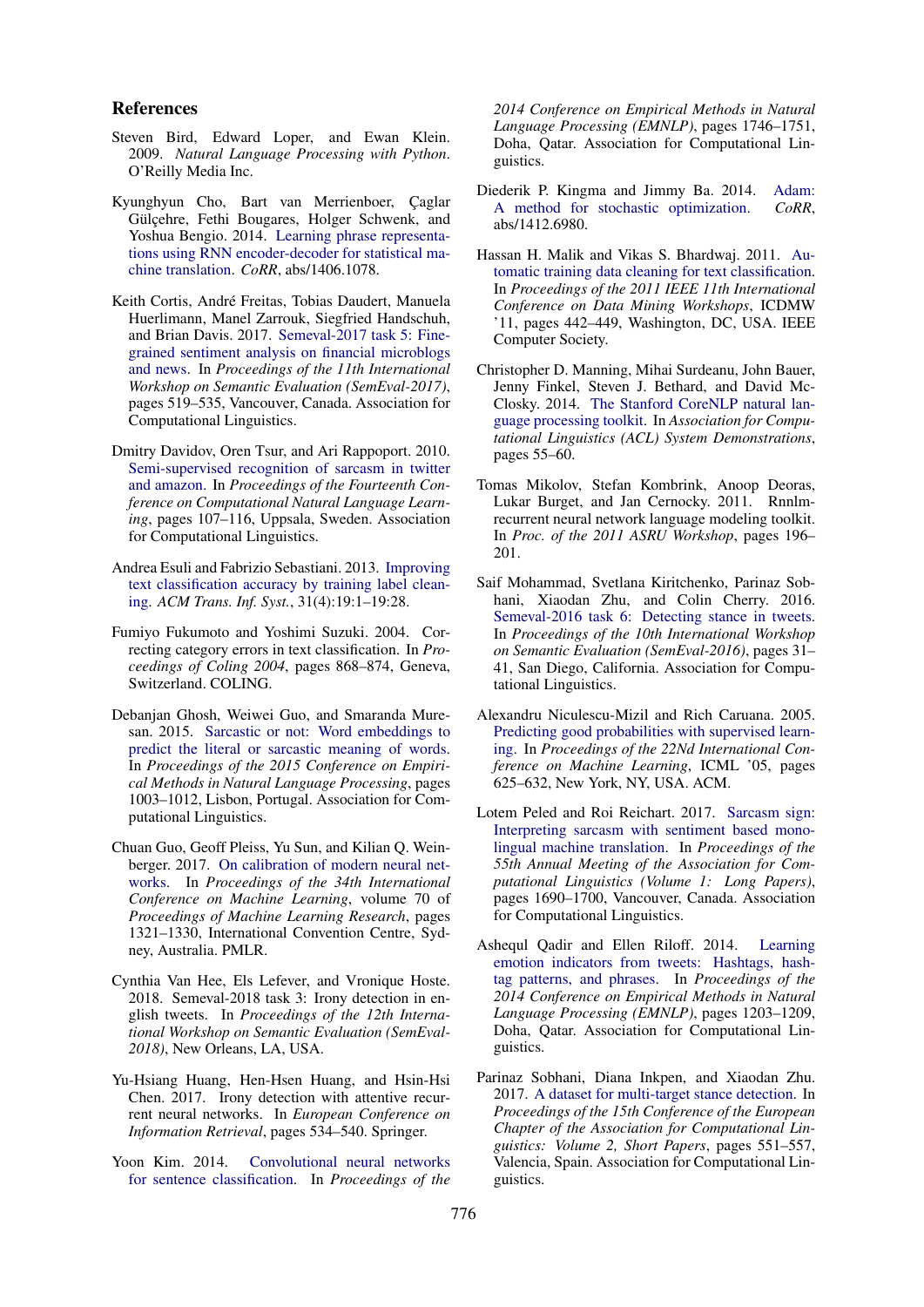#### References

- <span id="page-5-11"></span>Steven Bird, Edward Loper, and Ewan Klein. 2009. *Natural Language Processing with Python*. O'Reilly Media Inc.
- <span id="page-5-13"></span>Kyunghyun Cho, Bart van Merrienboer, Çaglar Gülçehre, Fethi Bougares, Holger Schwenk, and Yoshua Bengio. 2014. [Learning phrase representa](http://arxiv.org/abs/1406.1078)[tions using RNN encoder-decoder for statistical ma](http://arxiv.org/abs/1406.1078)[chine translation.](http://arxiv.org/abs/1406.1078) *CoRR*, abs/1406.1078.
- <span id="page-5-3"></span>Keith Cortis, André Freitas, Tobias Daudert, Manuela Huerlimann, Manel Zarrouk, Siegfried Handschuh, and Brian Davis. 2017. [Semeval-2017 task 5: Fine](http://www.aclweb.org/anthology/S17-2089)[grained sentiment analysis on financial microblogs](http://www.aclweb.org/anthology/S17-2089) [and news.](http://www.aclweb.org/anthology/S17-2089) In *Proceedings of the 11th International Workshop on Semantic Evaluation (SemEval-2017)*, pages 519–535, Vancouver, Canada. Association for Computational Linguistics.
- <span id="page-5-7"></span>Dmitry Davidov, Oren Tsur, and Ari Rappoport. 2010. [Semi-supervised recognition of sarcasm in twitter](http://www.aclweb.org/anthology/W10-2914) [and amazon.](http://www.aclweb.org/anthology/W10-2914) In *Proceedings of the Fourteenth Conference on Computational Natural Language Learning*, pages 107–116, Uppsala, Sweden. Association for Computational Linguistics.
- <span id="page-5-9"></span>Andrea Esuli and Fabrizio Sebastiani. 2013. [Improving](https://doi.org/10.1145/2516889) [text classification accuracy by training label clean](https://doi.org/10.1145/2516889)[ing.](https://doi.org/10.1145/2516889) *ACM Trans. Inf. Syst.*, 31(4):19:1–19:28.
- <span id="page-5-10"></span>Fumiyo Fukumoto and Yoshimi Suzuki. 2004. Correcting category errors in text classification. In *Proceedings of Coling 2004*, pages 868–874, Geneva, Switzerland. COLING.
- <span id="page-5-4"></span>Debanjan Ghosh, Weiwei Guo, and Smaranda Muresan. 2015. [Sarcastic or not: Word embeddings to](http://aclweb.org/anthology/D15-1116) [predict the literal or sarcastic meaning of words.](http://aclweb.org/anthology/D15-1116) In *Proceedings of the 2015 Conference on Empirical Methods in Natural Language Processing*, pages 1003–1012, Lisbon, Portugal. Association for Computational Linguistics.
- <span id="page-5-19"></span>Chuan Guo, Geoff Pleiss, Yu Sun, and Kilian Q. Weinberger. 2017. [On calibration of modern neural net](http://proceedings.mlr.press/v70/guo17a.html)[works.](http://proceedings.mlr.press/v70/guo17a.html) In *Proceedings of the 34th International Conference on Machine Learning*, volume 70 of *Proceedings of Machine Learning Research*, pages 1321–1330, International Convention Centre, Sydney, Australia. PMLR.
- <span id="page-5-6"></span>Cynthia Van Hee, Els Lefever, and Vronique Hoste. 2018. Semeval-2018 task 3: Irony detection in english tweets. In *Proceedings of the 12th International Workshop on Semantic Evaluation (SemEval-2018)*, New Orleans, LA, USA.
- <span id="page-5-14"></span>Yu-Hsiang Huang, Hen-Hsen Huang, and Hsin-Hsi Chen. 2017. Irony detection with attentive recurrent neural networks. In *European Conference on Information Retrieval*, pages 534–540. Springer.
- <span id="page-5-12"></span>Yoon Kim. 2014. [Convolutional neural networks](http://www.aclweb.org/anthology/D14-1181) [for sentence classification.](http://www.aclweb.org/anthology/D14-1181) In *Proceedings of the*

*2014 Conference on Empirical Methods in Natural Language Processing (EMNLP)*, pages 1746–1751, Doha, Qatar. Association for Computational Linguistics.

- <span id="page-5-17"></span>Diederik P. Kingma and Jimmy Ba. 2014. [Adam:](http://arxiv.org/abs/1412.6980) [A method for stochastic optimization.](http://arxiv.org/abs/1412.6980) *CoRR*, abs/1412.6980.
- <span id="page-5-8"></span>Hassan H. Malik and Vikas S. Bhardwaj. 2011. [Au](https://doi.org/10.1109/ICDMW.2011.36)[tomatic training data cleaning for text classification.](https://doi.org/10.1109/ICDMW.2011.36) In *Proceedings of the 2011 IEEE 11th International Conference on Data Mining Workshops*, ICDMW '11, pages 442–449, Washington, DC, USA. IEEE Computer Society.
- <span id="page-5-16"></span>Christopher D. Manning, Mihai Surdeanu, John Bauer, Jenny Finkel, Steven J. Bethard, and David Mc-Closky. 2014. [The Stanford CoreNLP natural lan](http://www.aclweb.org/anthology/P/P14/P14-5010)[guage processing toolkit.](http://www.aclweb.org/anthology/P/P14/P14-5010) In *Association for Computational Linguistics (ACL) System Demonstrations*, pages 55–60.
- <span id="page-5-15"></span>Tomas Mikolov, Stefan Kombrink, Anoop Deoras, Lukar Burget, and Jan Cernocky. 2011. Rnnlmrecurrent neural network language modeling toolkit. In *Proc. of the 2011 ASRU Workshop*, pages 196– 201.
- <span id="page-5-1"></span>Saif Mohammad, Svetlana Kiritchenko, Parinaz Sobhani, Xiaodan Zhu, and Colin Cherry. 2016. [Semeval-2016 task 6: Detecting stance in tweets.](http://www.aclweb.org/anthology/S16-1003) In *Proceedings of the 10th International Workshop on Semantic Evaluation (SemEval-2016)*, pages 31– 41, San Diego, California. Association for Computational Linguistics.
- <span id="page-5-18"></span>Alexandru Niculescu-Mizil and Rich Caruana. 2005. [Predicting good probabilities with supervised learn](https://doi.org/10.1145/1102351.1102430)[ing.](https://doi.org/10.1145/1102351.1102430) In *Proceedings of the 22Nd International Conference on Machine Learning*, ICML '05, pages 625–632, New York, NY, USA. ACM.
- <span id="page-5-5"></span>Lotem Peled and Roi Reichart. 2017. [Sarcasm sign:](http://aclweb.org/anthology/P17-1155) [Interpreting sarcasm with sentiment based mono](http://aclweb.org/anthology/P17-1155)[lingual machine translation.](http://aclweb.org/anthology/P17-1155) In *Proceedings of the 55th Annual Meeting of the Association for Computational Linguistics (Volume 1: Long Papers)*, pages 1690–1700, Vancouver, Canada. Association for Computational Linguistics.
- <span id="page-5-0"></span>Ashequl Qadir and Ellen Riloff. 2014. [Learning](http://www.aclweb.org/anthology/D14-1127) [emotion indicators from tweets: Hashtags, hash](http://www.aclweb.org/anthology/D14-1127)[tag patterns, and phrases.](http://www.aclweb.org/anthology/D14-1127) In *Proceedings of the 2014 Conference on Empirical Methods in Natural Language Processing (EMNLP)*, pages 1203–1209, Doha, Qatar. Association for Computational Linguistics.
- <span id="page-5-2"></span>Parinaz Sobhani, Diana Inkpen, and Xiaodan Zhu. 2017. [A dataset for multi-target stance detection.](http://www.aclweb.org/anthology/E17-2088) In *Proceedings of the 15th Conference of the European Chapter of the Association for Computational Linguistics: Volume 2, Short Papers*, pages 551–557, Valencia, Spain. Association for Computational Linguistics.